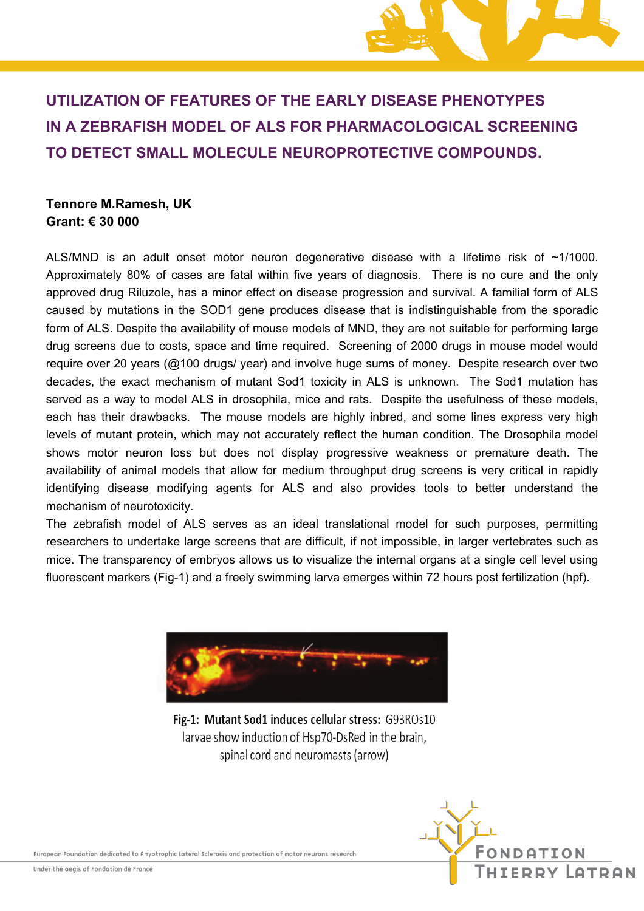# **UTILIZATION OF FEATURES OF THE EARLY DISEASE PHENOTYPES IN A ZEBRAFISH MODEL OF ALS FOR PHARMACOLOGICAL SCREENING TO DETECT SMALL MOLECULE NEUROPROTECTIVE COMPOUNDS.**

## **Tennore M.Ramesh, UK Grant: € 30 000**

ALS/MND is an adult onset motor neuron degenerative disease with a lifetime risk of ~1/1000. Approximately 80% of cases are fatal within five years of diagnosis. There is no cure and the only approved drug Riluzole, has a minor effect on disease progression and survival. A familial form of ALS caused by mutations in the SOD1 gene produces disease that is indistinguishable from the sporadic form of ALS. Despite the availability of mouse models of MND, they are not suitable for performing large drug screens due to costs, space and time required. Screening of 2000 drugs in mouse model would require over 20 years (@100 drugs/ year) and involve huge sums of money. Despite research over two decades, the exact mechanism of mutant Sod1 toxicity in ALS is unknown. The Sod1 mutation has served as a way to model ALS in drosophila, mice and rats. Despite the usefulness of these models, each has their drawbacks. The mouse models are highly inbred, and some lines express very high levels of mutant protein, which may not accurately reflect the human condition. The Drosophila model shows motor neuron loss but does not display progressive weakness or premature death. The availability of animal models that allow for medium throughput drug screens is very critical in rapidly identifying disease modifying agents for ALS and also provides tools to better understand the mechanism of neurotoxicity.

The zebrafish model of ALS serves as an ideal translational model for such purposes, permitting researchers to undertake large screens that are difficult, if not impossible, in larger vertebrates such as mice. The transparency of embryos allows us to visualize the internal organs at a single cell level using fluorescent markers (Fig-1) and a freely swimming larva emerges within 72 hours post fertilization (hpf).



Fig-1: Mutant Sod1 induces cellular stress: G93ROs10 larvae show induction of Hsp70-DsRed in the brain, spinal cord and neuromasts (arrow)

European Foundation dedicated to Amyotrophic Lateral Sclerosis and protection of motor neurons research

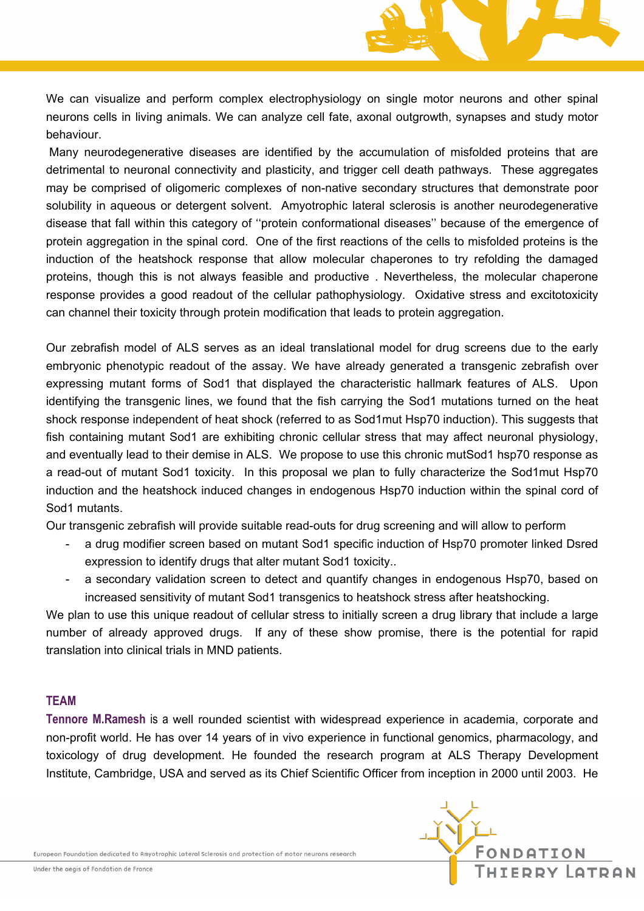We can visualize and perform complex electrophysiology on single motor neurons and other spinal neurons cells in living animals. We can analyze cell fate, axonal outgrowth, synapses and study motor behaviour.

 Many neurodegenerative diseases are identified by the accumulation of misfolded proteins that are detrimental to neuronal connectivity and plasticity, and trigger cell death pathways. These aggregates may be comprised of oligomeric complexes of non-native secondary structures that demonstrate poor solubility in aqueous or detergent solvent. Amyotrophic lateral sclerosis is another neurodegenerative disease that fall within this category of ''protein conformational diseases'' because of the emergence of protein aggregation in the spinal cord. One of the first reactions of the cells to misfolded proteins is the induction of the heatshock response that allow molecular chaperones to try refolding the damaged proteins, though this is not always feasible and productive . Nevertheless, the molecular chaperone response provides a good readout of the cellular pathophysiology. Oxidative stress and excitotoxicity can channel their toxicity through protein modification that leads to protein aggregation.

Our zebrafish model of ALS serves as an ideal translational model for drug screens due to the early embryonic phenotypic readout of the assay. We have already generated a transgenic zebrafish over expressing mutant forms of Sod1 that displayed the characteristic hallmark features of ALS. Upon identifying the transgenic lines, we found that the fish carrying the Sod1 mutations turned on the heat shock response independent of heat shock (referred to as Sod1mut Hsp70 induction). This suggests that fish containing mutant Sod1 are exhibiting chronic cellular stress that may affect neuronal physiology, and eventually lead to their demise in ALS. We propose to use this chronic mutSod1 hsp70 response as a read-out of mutant Sod1 toxicity. In this proposal we plan to fully characterize the Sod1mut Hsp70 induction and the heatshock induced changes in endogenous Hsp70 induction within the spinal cord of Sod1 mutants.

Our transgenic zebrafish will provide suitable read-outs for drug screening and will allow to perform

- a drug modifier screen based on mutant Sod1 specific induction of Hsp70 promoter linked Dsred expression to identify drugs that alter mutant Sod1 toxicity..
- a secondary validation screen to detect and quantify changes in endogenous Hsp70, based on increased sensitivity of mutant Sod1 transgenics to heatshock stress after heatshocking.

We plan to use this unique readout of cellular stress to initially screen a drug library that include a large number of already approved drugs. If any of these show promise, there is the potential for rapid translation into clinical trials in MND patients.

### **TEAM**

**Tennore M.Ramesh** is a well rounded scientist with widespread experience in academia, corporate and non-profit world. He has over 14 years of in vivo experience in functional genomics, pharmacology, and toxicology of drug development. He founded the research program at ALS Therapy Development Institute, Cambridge, USA and served as its Chief Scientific Officer from inception in 2000 until 2003. He

European Foundation dedicated to Amyotrophic Lateral Sclerosis and protection of motor neurons research

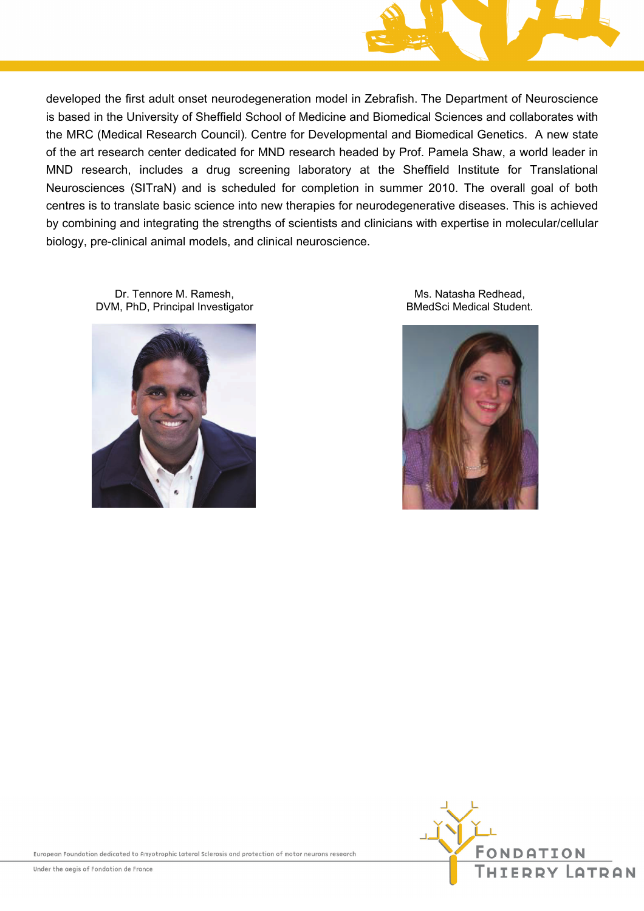

developed the first adult onset neurodegeneration model in Zebrafish. The Department of Neuroscience is based in the University of Sheffield School of Medicine and Biomedical Sciences and collaborates with the MRC (Medical Research Council)*.* Centre for Developmental and Biomedical Genetics. A new state of the art research center dedicated for MND research headed by Prof. Pamela Shaw, a world leader in MND research, includes a drug screening laboratory at the Sheffield Institute for Translational Neurosciences (SITraN) and is scheduled for completion in summer 2010. The overall goal of both centres is to translate basic science into new therapies for neurodegenerative diseases. This is achieved by combining and integrating the strengths of scientists and clinicians with expertise in molecular/cellular biology, pre-clinical animal models, and clinical neuroscience.



Dr. Tennore M. Ramesh, DVM, PhD, Principal Investigator

Ms. Natasha Redhead, BMedSci Medical Student.



European Foundation dedicated to Amyotrophic Lateral Sclerosis and protection of motor neurons research

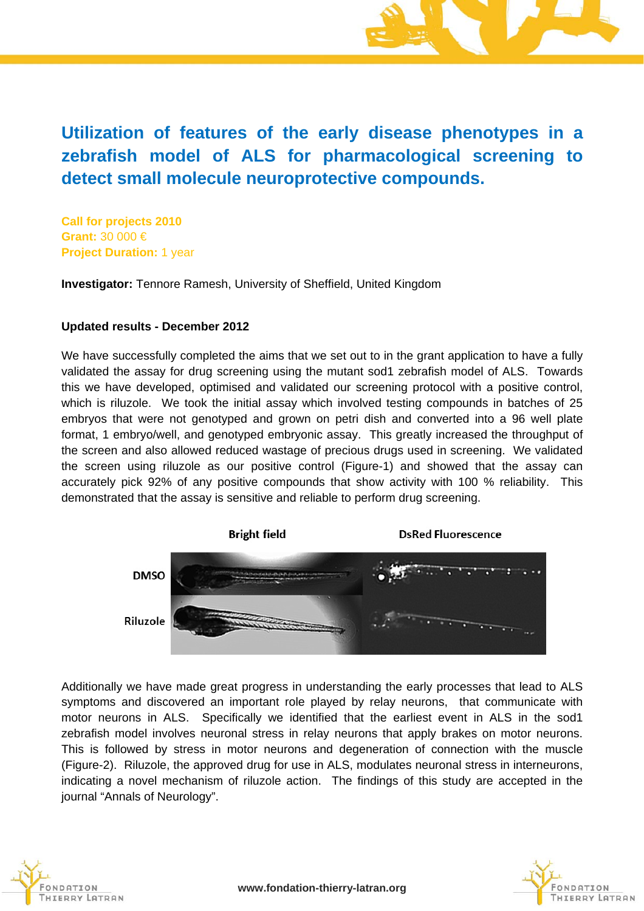## **Utilization of features of the early disease phenotypes in a zebrafish model of ALS for pharmacological screening to detect small molecule neuroprotective compounds.**

**Call for projects 2010 Grant:** 30 000 € **Project Duration:** 1 year

**Investigator:** Tennore Ramesh, University of Sheffield, United Kingdom

### **Updated results - December 2012**

We have successfully completed the aims that we set out to in the grant application to have a fully validated the assay for drug screening using the mutant sod1 zebrafish model of ALS. Towards this we have developed, optimised and validated our screening protocol with a positive control, which is riluzole. We took the initial assay which involved testing compounds in batches of 25 embryos that were not genotyped and grown on petri dish and converted into a 96 well plate format, 1 embryo/well, and genotyped embryonic assay. This greatly increased the throughput of the screen and also allowed reduced wastage of precious drugs used in screening. We validated the screen using riluzole as our positive control (Figure-1) and showed that the assay can accurately pick 92% of any positive compounds that show activity with 100 % reliability. This demonstrated that the assay is sensitive and reliable to perform drug screening.



Additionally we have made great progress in understanding the early processes that lead to ALS symptoms and discovered an important role played by relay neurons, that communicate with motor neurons in ALS. Specifically we identified that the earliest event in ALS in the sod1 zebrafish model involves neuronal stress in relay neurons that apply brakes on motor neurons. This is followed by stress in motor neurons and degeneration of connection with the muscle (Figure-2). Riluzole, the approved drug for use in ALS, modulates neuronal stress in interneurons, indicating a novel mechanism of riluzole action. The findings of this study are accepted in the journal "Annals of Neurology".